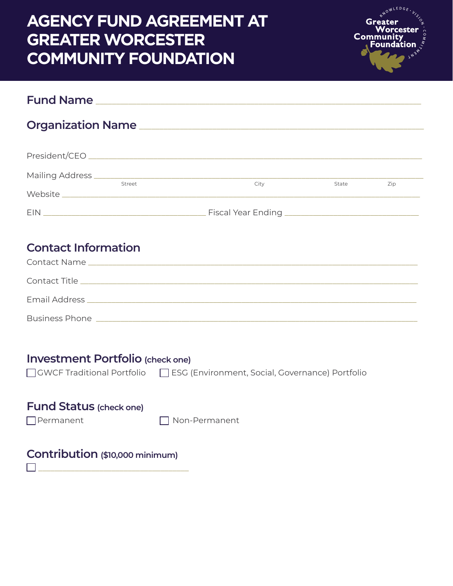# ILEDG<sub>F</sub> **AGENCY FUND AGREEMENT AT GREATER WORCESTER COMMUNITY FOUNDATION Fund Name** \_\_\_\_\_\_\_\_\_\_\_\_\_\_\_\_\_\_\_\_\_\_\_\_\_\_\_\_\_\_\_\_\_\_\_\_\_\_\_\_\_\_\_\_\_\_\_\_\_\_\_\_\_\_\_\_\_\_\_\_\_\_\_\_\_\_\_\_\_\_\_\_\_\_\_\_\_\_\_\_ **Organization Name** \_\_\_\_\_\_\_\_\_\_\_\_\_\_\_\_\_\_\_\_\_\_\_\_\_\_\_\_\_\_\_\_\_\_\_\_\_\_\_\_\_\_\_\_\_\_\_\_\_\_\_\_\_\_\_\_\_\_\_\_\_\_\_\_\_\_\_\_\_\_ President/CEO \_\_\_\_\_\_\_\_\_\_\_\_\_\_\_\_\_\_\_\_\_\_\_\_\_\_\_\_\_\_\_\_\_\_\_\_\_\_\_\_\_\_\_\_\_\_\_\_\_\_\_\_\_\_\_\_\_\_\_\_\_\_\_\_\_\_\_\_\_\_\_\_\_\_\_\_\_\_\_\_\_\_ Mailing Address \_\_\_\_\_\_\_\_\_\_\_\_\_\_\_\_\_\_\_\_\_\_\_\_\_\_\_\_\_\_\_\_\_\_\_\_\_\_\_\_\_\_\_\_\_\_\_\_\_\_\_\_\_\_\_\_\_\_\_\_\_\_\_\_\_\_\_\_\_\_\_\_\_\_\_\_\_\_\_\_\_ State Zip Website EIN \_\_\_\_\_\_\_\_\_\_\_\_\_\_\_\_\_\_\_\_\_\_\_\_\_\_\_\_\_\_\_\_\_\_\_\_\_\_\_\_ Fiscal Year Ending \_\_\_\_\_\_\_\_\_\_\_\_\_\_\_\_\_\_\_\_\_\_\_\_\_\_\_\_\_\_\_\_\_ **Contact Information** Contact Name \_\_\_\_\_\_\_\_\_\_\_\_\_\_\_\_\_\_\_\_\_\_\_\_\_\_\_\_\_\_\_\_\_\_\_\_\_\_\_\_\_\_\_\_\_\_\_\_\_\_\_\_\_\_\_\_\_\_\_\_\_\_\_\_\_\_\_\_\_\_\_\_\_\_\_\_\_\_\_\_\_ Contact Title \_\_\_\_\_\_\_\_\_\_\_\_\_\_\_\_\_\_\_\_\_\_\_\_\_\_\_\_\_\_\_\_\_\_\_\_\_\_\_\_\_\_\_\_\_\_\_\_\_\_\_\_\_\_\_\_\_\_\_\_\_\_\_\_\_\_\_\_\_\_\_\_\_\_\_\_\_\_\_\_\_\_\_ Email Address \_\_\_\_\_\_\_\_\_\_\_\_\_\_\_\_\_\_\_\_\_\_\_\_\_\_\_\_\_\_\_\_\_\_\_\_\_\_\_\_\_\_\_\_\_\_\_\_\_\_\_\_\_\_\_\_\_\_\_\_\_\_\_\_\_\_\_\_\_\_\_\_\_\_\_\_\_\_\_\_\_ Business Phone \_\_\_\_\_\_\_\_\_\_\_\_\_\_\_\_\_\_\_\_\_\_\_\_\_\_\_\_\_\_\_\_\_\_\_\_\_\_\_\_\_\_\_\_\_\_\_\_\_\_\_\_\_\_\_\_\_\_\_\_\_\_\_\_\_\_\_\_\_\_\_\_\_\_\_\_\_\_\_ **Investment Portfolio (check one)** GWCF Traditional Portfolio ESG (Environment, Social, Governance) Portfolio **Fund Status (check one)** Permanent Non-Permanent**Contribution (\$10,000 minimum)**

\_\_\_\_\_\_\_\_\_\_\_\_\_\_\_\_\_\_\_\_\_\_\_\_\_\_\_\_\_\_\_\_\_\_\_\_\_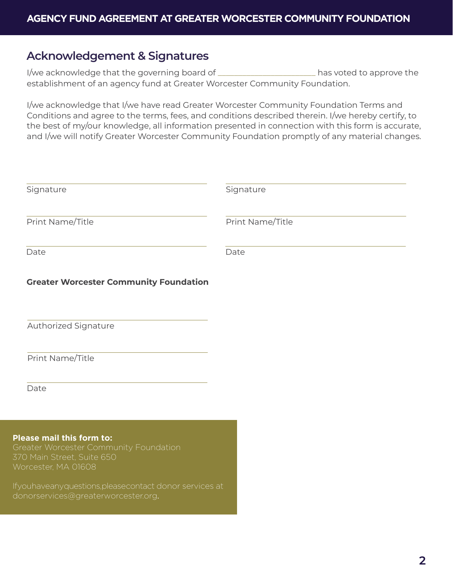#### **Acknowledgement & Signatures**

I/we acknowledge that the governing board of \_\_\_\_\_\_\_\_\_\_\_\_\_\_\_\_\_\_\_\_\_\_\_\_ has voted to approve the establishment of an agency fund at Greater Worcester Community Foundation.

I/we acknowledge that I/we have read Greater Worcester Community Foundation Terms and Conditions and agree to the terms, fees, and conditions described therein. I/we hereby certify, to the best of my/our knowledge, all information presented in connection with this form is accurate, and I/we will notify Greater Worcester Community Foundation promptly of any material changes.

| Signature                                                                                                                | Signature        |
|--------------------------------------------------------------------------------------------------------------------------|------------------|
| Print Name/Title                                                                                                         | Print Name/Title |
| Date                                                                                                                     | Date             |
| <b>Greater Worcester Community Foundation</b>                                                                            |                  |
| Authorized Signature                                                                                                     |                  |
| Print Name/Title                                                                                                         |                  |
| Date                                                                                                                     |                  |
|                                                                                                                          |                  |
| Please mail this form to:<br>Greater Worcester Community Foundation<br>370 Main Street, Suite 650<br>Worcester, MA 01608 |                  |
| Ifyouhaveanyquestions, pleasecontact donor services at<br>donorservices@greaterworcester.org.                            |                  |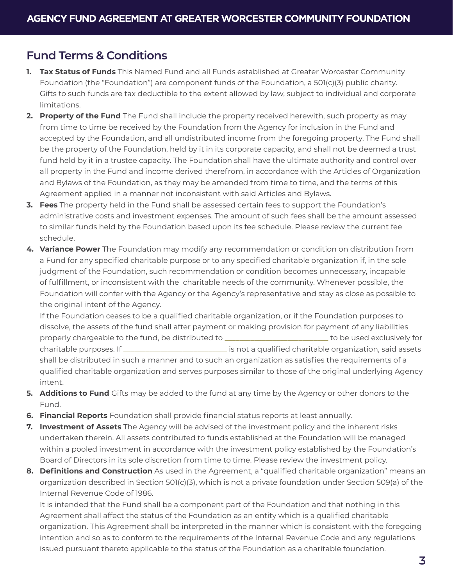### **Fund Terms & Conditions**

- **1. Tax Status of Funds** This Named Fund and all Funds established at Greater Worcester Community Foundation (the "Foundation") are component funds of the Foundation, a 501(c)(3) public charity. Gifts to such funds are tax deductible to the extent allowed by law, subject to individual and corporate limitations.
- **2. Property of the Fund** The Fund shall include the property received herewith, such property as may from time to time be received by the Foundation from the Agency for inclusion in the Fund and accepted by the Foundation, and all undistributed income from the foregoing property. The Fund shall be the property of the Foundation, held by it in its corporate capacity, and shall not be deemed a trust fund held by it in a trustee capacity. The Foundation shall have the ultimate authority and control over all property in the Fund and income derived therefrom, in accordance with the Articles of Organization and Bylaws of the Foundation, as they may be amended from time to time, and the terms of this Agreement applied in a manner not inconsistent with said Articles and Bylaws.
- **3. Fees** The property held in the Fund shall be assessed certain fees to support the Foundation's administrative costs and investment expenses. The amount of such fees shall be the amount assessed to similar funds held by the Foundation based upon its fee schedule. Please review the current fee schedule.
- **4. Variance Power** The Foundation may modify any recommendation or condition on distribution from a Fund for any specified charitable purpose or to any specified charitable organization if, in the sole judgment of the Foundation, such recommendation or condition becomes unnecessary, incapable of fulfillment, or inconsistent with the charitable needs of the community. Whenever possible, the Foundation will confer with the Agency or the Agency's representative and stay as close as possible to the original intent of the Agency.

If the Foundation ceases to be a qualified charitable organization, or if the Foundation purposes to dissolve, the assets of the fund shall after payment or making provision for payment of any liabilities properly chargeable to the fund, be distributed to \_\_\_\_\_\_\_\_\_\_\_\_\_\_\_\_\_\_\_\_\_\_\_\_\_\_\_\_ to be used exclusively for charitable purposes. If \_\_\_\_\_\_\_\_\_\_\_\_\_\_\_\_\_\_\_\_\_\_\_\_\_\_\_\_ is not a qualified charitable organization, said assets shall be distributed in such a manner and to such an organization as satisfies the requirements of a qualified charitable organization and serves purposes similar to those of the original underlying Agency intent.

- **5. Additions to Fund** Gifts may be added to the fund at any time by the Agency or other donors to the Fund.
- **6. Financial Reports** Foundation shall provide financial status reports at least annually.
- **7. Investment of Assets** The Agency will be advised of the investment policy and the inherent risks undertaken therein. All assets contributed to funds established at the Foundation will be managed within a pooled investment in accordance with the investment policy established by the Foundation's Board of Directors in its sole discretion from time to time. Please review the investment policy.
- **8. Definitions and Construction** As used in the Agreement, a "qualified charitable organization" means an organization described in Section 501(c)(3), which is not a private foundation under Section 509(a) of the Internal Revenue Code of 1986.

It is intended that the Fund shall be a component part of the Foundation and that nothing in this Agreement shall affect the status of the Foundation as an entity which is a qualified charitable organization. This Agreement shall be interpreted in the manner which is consistent with the foregoing intention and so as to conform to the requirements of the Internal Revenue Code and any regulations issued pursuant thereto applicable to the status of the Foundation as a charitable foundation.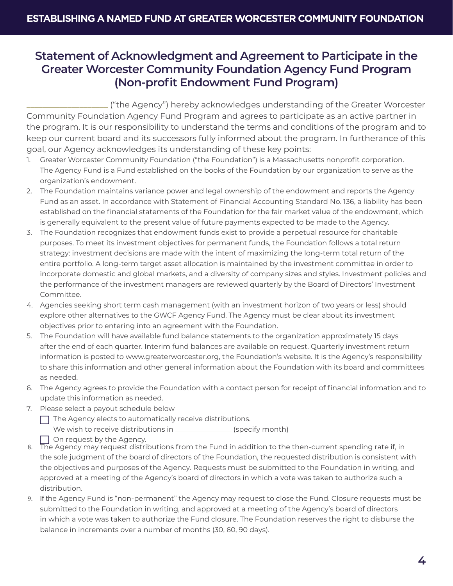#### **Statement of Acknowledgment and Agreement to Participate in the Greater Worcester Community Foundation Agency Fund Program (Non-profit Endowment Fund Program)**

\_\_\_\_\_\_\_\_\_\_\_\_\_\_\_\_\_\_\_\_ ("the Agency") hereby acknowledges understanding of the Greater Worcester Community Foundation Agency Fund Program and agrees to participate as an active partner in the program. It is our responsibility to understand the terms and conditions of the program and to keep our current board and its successors fully informed about the program. In furtherance of this goal, our Agency acknowledges its understanding of these key points:

- 1. Greater Worcester Community Foundation ("the Foundation") is a Massachusetts nonprofit corporation. The Agency Fund is a Fund established on the books of the Foundation by our organization to serve as the organization's endowment.
- 2. The Foundation maintains variance power and legal ownership of the endowment and reports the Agency Fund as an asset. In accordance with Statement of Financial Accounting Standard No. 136, a liability has been established on the financial statements of the Foundation for the fair market value of the endowment, which is generally equivalent to the present value of future payments expected to be made to the Agency.
- 3. The Foundation recognizes that endowment funds exist to provide a perpetual resource for charitable purposes. To meet its investment objectives for permanent funds, the Foundation follows a total return strategy: investment decisions are made with the intent of maximizing the long-term total return of the entire portfolio. A long-term target asset allocation is maintained by the investment committee in order to incorporate domestic and global markets, and a diversity of company sizes and styles. Investment policies and the performance of the investment managers are reviewed quarterly by the Board of Directors' Investment Committee.
- 4. Agencies seeking short term cash management (with an investment horizon of two years or less) should explore other alternatives to the GWCF Agency Fund. The Agency must be clear about its investment objectives prior to entering into an agreement with the Foundation.
- 5. The Foundation will have available fund balance statements to the organization approximately 15 days after the end of each quarter. Interim fund balances are available on request. Quarterly investment return information is posted to www.greaterworcester.org, the Foundation's website. It is the Agency's responsibility to share this information and other general information about the Foundation with its board and committees as needed.
- 6. The Agency agrees to provide the Foundation with a contact person for receipt of financial information and to update this information as needed.
- 7. Please select a payout schedule below
	- $\Box$  The Agency elects to automatically receive distributions. We wish to receive distributions in \_\_\_\_\_\_\_\_\_\_\_\_\_\_\_\_\_(specify month)

On request by the Agency.

- 8. The Agency may request distributions from the Fund in addition to the then-current spending rate if, in the sole judgment of the board of directors of the Foundation, the requested distribution is consistent with the objectives and purposes of the Agency. Requests must be submitted to the Foundation in writing, and approved at a meeting of the Agency's board of directors in which a vote was taken to authorize such a distribution.
- 9. If the Agency Fund is "non-permanent" the Agency may request to close the Fund. Closure requests must be submitted to the Foundation in writing, and approved at a meeting of the Agency's board of directors in which a vote was taken to authorize the Fund closure. The Foundation reserves the right to disburse the balance in increments over a number of months (30, 60, 90 days).